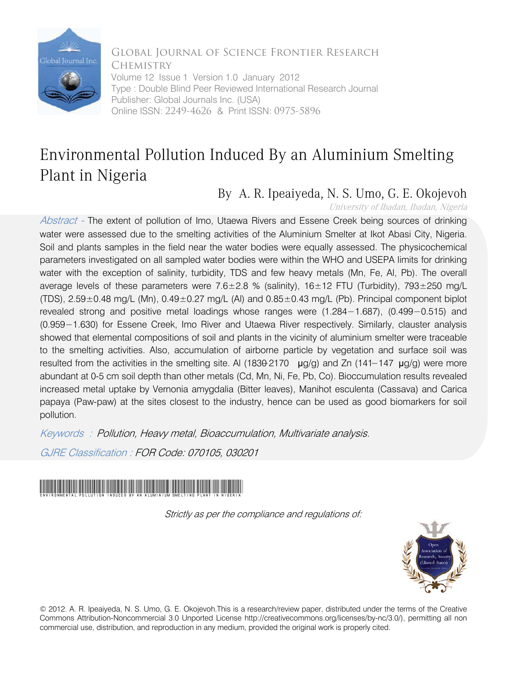

Global Journal of Science Frontier Research **CHEMISTRY** Volume 12 Issue 1 Version 1.0 January 2012 Type : Double Blind Peer Reviewed International Research Journal Publisher: Global Journals Inc. (USA) Online ISSN: 2249-4626 & Print ISSN: 0975-5896

## Environmental Pollution Induced By an Aluminium Smelting Plant in Nigeria

## By A. R. Ipeaiyeda, N. S. Umo, G. E. Okojevoh

University of Ibadan, Ibadan, Nigeria

Abstract - The extent of pollution of Imo, Utaewa Rivers and Essene Creek being sources of drinking water were assessed due to the smelting activities of the Aluminium Smelter at Ikot Abasi City, Nigeria. Soil and plants samples in the field near the water bodies were equally assessed. The physicochemical parameters investigated on all sampled water bodies were within the WHO and USEPA limits for drinking water with the exception of salinity, turbidity, TDS and few heavy metals (Mn, Fe, Al, Pb). The overall average levels of these parameters were  $7.6 \pm 2.8$  % (salinity),  $16 \pm 12$  FTU (Turbidity),  $793 \pm 250$  mg/L (TDS),  $2.59\pm0.48$  mg/L (Mn),  $0.49\pm0.27$  mg/L (Al) and  $0.85\pm0.43$  mg/L (Pb). Principal component biplot revealed strong and positive metal loadings whose ranges were (1.284−1.687), (0.499−0.515) and (0.959−1.630) for Essene Creek, Imo River and Utaewa River respectively. Similarly, clauster analysis showed that elemental compositions of soil and plants in the vicinity of aluminium smelter were traceable to the smelting activities. Also, accumulation of airborne particle by vegetation and surface soil was resulted from the activities in the smelting site. Al (1830−2170 µg/g) and Zn (141–147 µg/g) were more abundant at 0-5 cm soil depth than other metals (Cd, Mn, Ni, Fe, Pb, Co). Bioccumulation results revealed increased metal uptake by Vernonia amygdalia (Bitter leaves), Manihot esculenta (Cassava) and Carica papaya (Paw-paw) at the sites closest to the industry, hence can be used as good biomarkers for soil pollution.

Keywords : Pollution, Heavy metal, Bioaccumulation, Multivariate analysis.

GJRE Classification : FOR Code: 070105, 030201



Strictly as per the compliance and regulations of:



© 2012. A. R. Ipeaiyeda, N. S. Umo, G. E. Okojevoh.This is a research/review paper, distributed under the terms of the Creative Commons Attribution-Noncommercial 3.0 Unported License http://creativecommons.org/licenses/by-nc/3.0/), permitting all non commercial use, distribution, and reproduction in any medium, provided the original work is properly cited.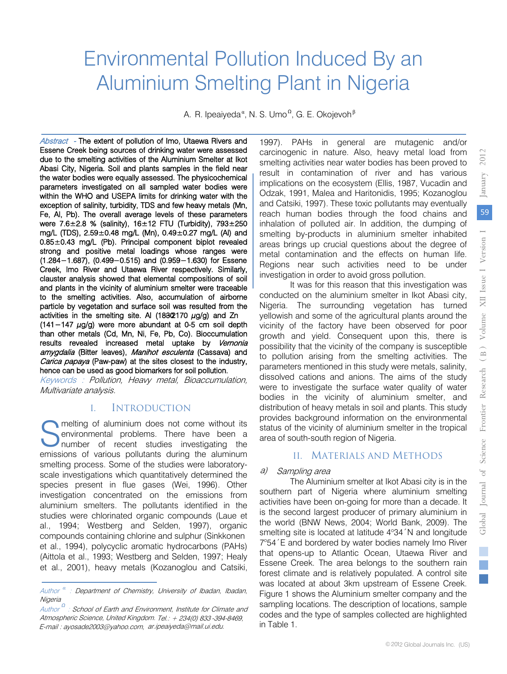# Environmental Pollution Induced By an Aluminium Smelting Plant in Nigeria

A. R. Ipeaiyeda<sup>«</sup>, N. S. Umo<sup>o</sup>, G. E. Okojevoh<sup>β</sup>

Abstract - The extent of pollution of Imo, Utaewa Rivers and Essene Creek being sources of drinking water were assessed due to the smelting activities of the Aluminium Smelter at Ikot Abasi City, Nigeria. Soil and plants samples in the field near the water bodies were equally assessed. The physicochemical parameters investigated on all sampled water bodies were within the WHO and USEPA limits for drinking water with the exception of salinity, turbidity, TDS and few heavy metals (Mn, Fe, Al, Pb). The overall average levels of these parameters were 7.6±2.8 % (salinity), 16±12 FTU (Turbidity), 793±250 mg/L (TDS), 2.59±0.48 mg/L (Mn), 0.49±0.27 mg/L (Al) and 0.85±0.43 mg/L (Pb). Principal component biplot revealed strong and positive metal loadings whose ranges were (1.284−1.687), (0.499−0.515) and (0.959−1.630) for Essene Creek, Imo River and Utaewa River respectively. Similarly, clauster analysis showed that elemental compositions of soil and plants in the vicinity of aluminium smelter were traceable to the smelting activities. Also, accumulation of airborne particle by vegetation and surface soil was resulted from the activities in the smelting site. Al (18302170  $\mu$ g/g) and Zn (141−147 µg/g) were more abundant at 0-5 cm soil depth than other metals (Cd, Mn, Ni, Fe, Pb, Co). Bioccumulation results revealed increased metal uptake by Vernonia *amygdalia* (Bitter leaves), *Manihot esculenta* (Cassava) and<br>*Carica nanava* (Paw-naw) at the sites closest to the industry *Carica papaya* (Paw-paw) at the sites closest to the industry,<br>hence can be used as good biomarkers for soil pollution hence can be used as good biomarkers for soil pollution.<br>Keywords : Pollution, Heavy metal, Bioaccumulation,

Multivariate analysis.

## I. INTRODUCTION

melting of aluminium does not come without its environmental problems. There have been a number of recent studies investigating the emissions of various pollutants during the aluminum smelting process. Some of the studies were laboratoryscale investigations which quantitatively determined the species present in flue gases (Wei, 1996). Other investigation concentrated on the emissions from aluminium smelters. The pollutants identified in the studies were chlorinated organic compounds (Laue et al., 1994; Westberg and Selden, 1997), organic compounds containing chlorine and sulphur (Sinkkonen et al., 1994), polycyclic aromatic hydrocarbons (PAHs) (Aittola et al., 1993; Westberg and Selden, 1997; Healy et al., 2001), heavy metals (Kozanoglou and Catsiki, S

1997). PAHs in general are mutagenic and/or carcinogenic in nature. Also, heavy metal load from smelting activities near water bodies has been proved to result in contamination of river and has various implications on the ecosystem (Ellis, 1987, Vucadin and Odzak, 1991, Malea and Haritonidis, 1995; Kozanoglou and Catsiki, 1997). These toxic pollutants may eventually reach human bodies through the food chains and inhalation of polluted air. In addition, the dumping of smelting by-products in aluminium smelter inhabited areas brings up crucial questions about the degree of metal contamination and the effects on human life. Regions near such activities need to be under investigation in order to avoid gross pollution.

It was for this reason that this investigation was conducted on the aluminium smelter in Ikot Abasi city, Nigeria. The surrounding vegetation has turned yellowish and some of the agricultural plants around the vicinity of the factory have been observed for poor growth and yield. Consequent upon this, there is possibility that the vicinity of the company is susceptible to pollution arising from the smelting activities. The parameters mentioned in this study were metals, salinity, dissolved cations and anions. The aims of the study were to investigate the surface water quality of water bodies in the vicinity of aluminium smelter, and distribution of heavy metals in soil and plants. This study provides background information on the environmental status of the vicinity of aluminium smelter in the tropical area of south-south region of Nigeria.

## II. MATERIALS AND METHODS

## a) Sampling area

The Aluminium smelter at Ikot Abasi city is in the southern part of Nigeria where aluminium smelting activities have been on-going for more than a decade. It is the second largest producer of primary aluminium in the world (BNW News, 2004; World Bank, 2009). The smelting site is located at latitude 4°34'N and longitude 7°54 'E and bordered by water bodies namely Imo River that opens-up to Atlantic Ocean, Utaewa River and Essene Creek. The area belongs to the southern rain forest climate and is relatively populated. A control site was located at about 3km upstream of Essene Creek. Figure 1 shows the Aluminium smelter company and the sampling locations. The description of locations, sample codes and the type of samples collected are highlighted in Table 1.

2012

Author *<sup>α</sup>* : Department of Chemistry, University of Ibadan, Ibadan, **Nigeria** 

Author<sup>2</sup> : School of Earth and Environment, Institute for Climate and Atmospheric Science, United Kingdom. Tel.: + 234(0) 833 -394-8469, E-mail : ayosade2003@yahoo.com, ar.ipeaiyeda@mail.ui.edu.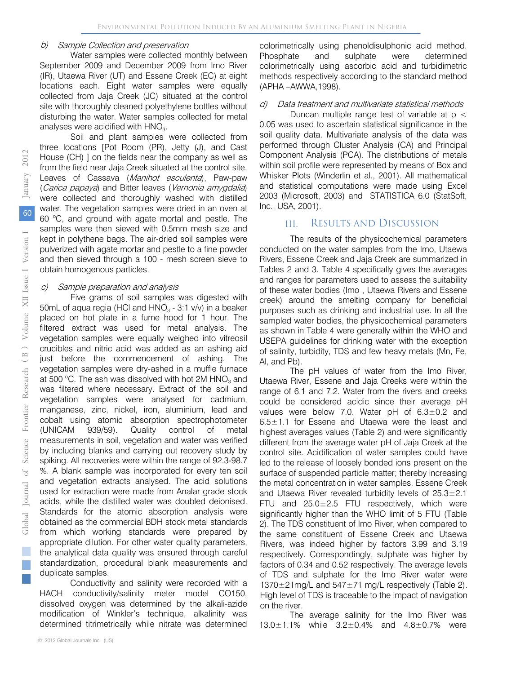### b) Sample Collection and preservation

Water samples were collected monthly between September 2009 and December 2009 from Imo River (IR), Utaewa River (UT) and Essene Creek (EC) at eight locations each. Eight water samples were equally collected from Jaja Creek (JC) situated at the control site with thoroughly cleaned polyethylene bottles without disturbing the water. Water samples collected for metal analyses were acidified with  $HNO<sub>3</sub>$ .

Soil and plant samples were collected from three locations [Pot Room (PR), Jetty (J), and Cast House (CH) ] on the fields near the company as well as from the field near Jaja Creek situated at the control site. Leaves of Cassava (Manihot esculenta), Paw-paw (Carica papaya) and Bitter leaves (Vernonia amygdalia) were collected and thoroughly washed with distilled water. The vegetation samples were dried in an oven at 60 °C, and ground with agate mortal and pestle. The samples were then sieved with 0.5mm mesh size and kept in polythene bags. The air-dried soil samples were pulverized with agate mortar and pestle to a fine powder and then sieved through a 100 - mesh screen sieve to obtain homogenous particles.

#### Sample preparation and analysis c)

 vegetation samples were equally weighed into vitreosil Five grams of soil samples was digested with 50mL of aqua regia (HCl and  $HNO<sub>3</sub> - 3:1$  v/v) in a beaker placed on hot plate in a fume hood for 1 hour. The filtered extract was used for metal analysis. The crucibles and nitric acid was added as an ashing aid just before the commencement of ashing. The vegetation samples were dry-ashed in a muffle furnace at 500 °C. The ash was dissolved with hot 2M HNO<sub>3</sub> and was filtered where necessary. Extract of the soil and vegetation samples were analysed for cadmium, manganese, zinc, nickel, iron, aluminium, lead and cobalt using atomic absorption spectrophotometer (UNICAM 939/59). Quality control of metal measurements in soil, vegetation and water was verified by including blanks and carrying out recovery study by spiking. All recoveries were within the range of 92.3-98.7 %. A blank sample was incorporated for every ten soil and vegetation extracts analysed. The acid solutions used for extraction were made from Analar grade stock acids, while the distilled water was doubled deionised. Standards for the atomic absorption analysis were obtained as the commercial BDH stock metal standards from which working standards were prepared by appropriate dilution. For other water quality parameters, the analytical data quality was ensured through careful standardization, procedural blank measurements and duplicate samples.

Conductivity and salinity were recorded with a HACH conductivity/salinity meter model CO150, dissolved oxygen was determined by the alkali-azide modification of Winkler's technique, alkalinity was determined titrimetrically while nitrate was determined

© 2012 Global Journals Inc. (US)

colorimetrically using phenoldisulphonic acid method. Phosphate and sulphate were determined colorimetrically using ascorbic acid and turbidimetric methods respectively according to the standard method (APHA –AWWA,1998).

### Data treatment and multivariate statistical methods d)

 Whisker Plots (Winderlin et al., 2001). All mathematical Duncan multiple range test of variable at  $p <$ 0.05 was used to ascertain statistical significance in the soil quality data. Multivariate analysis of the data was performed through Cluster Analysis (CA) and Principal Component Analysis (PCA). The distributions of metals within soil profile were represented by means of Box and and statistical computations were made using Excel 2003 (Microsoft, 2003) and STATISTICA 6.0 (StatSoft, Inc., USA, 2001).

#### RESULTS AND DISCUSSION III.

 creek) around the smelting company for beneficial The results of the physicochemical parameters conducted on the water samples from the Imo, Utaewa Rivers, Essene Creek and Jaja Creek are summarized in Tables 2 and 3. Table 4 specifically gives the averages and ranges for parameters used to assess the suitability of these water bodies (Imo , Utaewa Rivers and Essene purposes such as drinking and industrial use. In all the sampled water bodies, the physicochemical parameters as shown in Table 4 were generally within the WHO and USEPA guidelines for drinking water with the exception of salinity, turbidity, TDS and few heavy metals (Mn, Fe, Al, and Pb).

The pH values of water from the Imo River, Utaewa River, Essene and Jaja Creeks were within the range of 6.1 and 7.2. Water from the rivers and creeks could be considered acidic since their average pH values were below 7.0. Water pH of 6.3±0.2 and 6.5±1.1 for Essene and Utaewa were the least and highest averages values (Table 2) and were significantly different from the average water pH of Jaja Creek at the control site. Acidification of water samples could have led to the release of loosely bonded ions present on the surface of suspended particle matter; thereby increasing the metal concentration in water samples. Essene Creek and Utaewa River revealed turbidity levels of 25.3±2.1 FTU and 25.0±2.5 FTU respectively, which were significantly higher than the WHO limit of 5 FTU (Table 2). The TDS constituent of Imo River, when compared to the same constituent of Essene Creek and Utaewa Rivers, was indeed higher by factors 3.99 and 3.19 respectively. Correspondingly, sulphate was higher by factors of 0.34 and 0.52 respectively. The average levels of TDS and sulphate for the Imo River water were 1370±21mg/L and 547±71 mg/L respectively (Table 2). High level of TDS is traceable to the impact of navigation on the river.

The average salinity for the Imo River was 13.0±1.1% while 3.2±0.4% and 4.8±0.7% were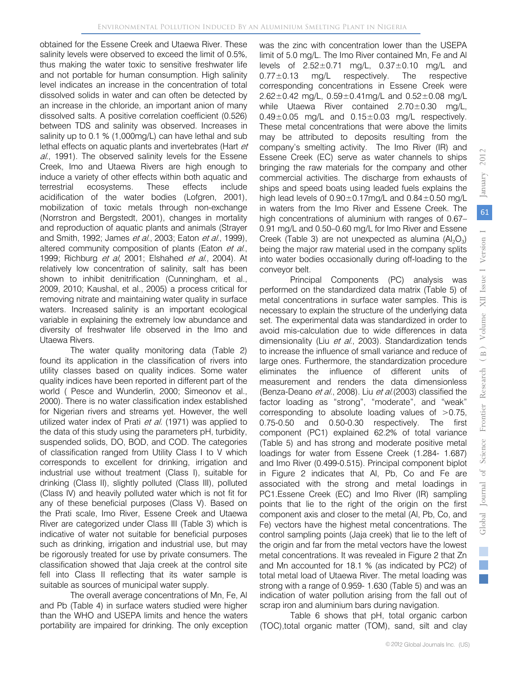obtained for the Essene Creek and Utaewa River. These salinity levels were observed to exceed the limit of 0.5%, thus making the water toxic to sensitive freshwater life and not portable for human consumption. High salinity level indicates an increase in the concentration of total dissolved solids in water and can often be detected by an increase in the chloride, an important anion of many dissolved salts. A positive correlation coefficient (0.526) between TDS and salinity was observed. Increases in salinity up to 0.1 % (1,000mg/L) can have lethal and sub lethal effects on aquatic plants and invertebrates (Hart et al., 1991). The observed salinity levels for the Essene Creek, Imo and Utaewa Rivers are high enough to induce a variety of other effects within both aquatic and terrestrial ecosystems. These effects include acidification of the water bodies (Lofgren, 2001), mobilization of toxic metals through non-exchange (Norrstron and Bergstedt, 2001), changes in mortality and reproduction of aquatic plants and animals (Strayer and Smith, 1992; James et al., 2003; Eaton et al., 1999), altered community composition of plants (Eaton et al., 1999; Richburg *et al*, 2001; Elshahed *et al.*, 2004). At relatively low concentration of salinity, salt has been shown to inhibit denitrification (Cunningham, et al., 2009, 2010; Kaushal, et al., 2005) a process critical for removing nitrate and maintaining water quality in surface waters. Increased salinity is an important ecological variable in explaining the extremely low abundance and diversity of freshwater life observed in the Imo and Utaewa Rivers.

The water quality monitoring data (Table 2) found its application in the classification of rivers into utility classes based on quality indices. Some water quality indices have been reported in different part of the world ( Pesce and Wunderlin, 2000; Simeonov et al., 2000). There is no water classification index established for Nigerian rivers and streams yet. However, the well utilized water index of Prati et al. (1971) was applied to the data of this study using the parameters pH, turbidity, suspended solids, DO, BOD, and COD. The categories of classification ranged from Utility Class I to V which corresponds to excellent for drinking, irrigation and industrial use without treatment (Class I), suitable for drinking (Class II), slightly polluted (Class III), polluted (Class IV) and heavily polluted water which is not fit for any of these beneficial purposes (Class V). Based on the Prati scale, Imo River, Essene Creek and Utaewa River are categorized under Class III (Table 3) which is indicative of water not suitable for beneficial purposes such as drinking, irrigation and industrial use, but may be rigorously treated for use by private consumers. The classification showed that Jaja creek at the control site fell into Class II reflecting that its water sample is suitable as sources of municipal water supply.

The overall average concentrations of Mn, Fe, Al and Pb (Table 4) in surface waters studied were higher than the WHO and USEPA limits and hence the waters portability are impaired for drinking. The only exception was the zinc with concentration lower than the USEPA limit of 5.0 mg/L. The Imo River contained Mn, Fe and Al levels of 2.52±0.71 mg/L, 0.37±0.10 mg/L and  $0.77\pm0.13$  mg/L respectively. The respective corresponding concentrations in Essene Creek were  $2.62 \pm 0.42$  mg/L,  $0.59 \pm 0.41$  mg/L and  $0.52 \pm 0.08$  mg/L while Utaewa River contained 2.70±0.30 mg/L,  $0.49\pm0.05$  mg/L and  $0.15\pm0.03$  mg/L respectively. These metal concentrations that were above the limits may be attributed to deposits resulting from the company's smelting activity. The Imo River (IR) and Essene Creek (EC) serve as water channels to ships bringing the raw materials for the company and other commercial activities. The discharge from exhausts of ships and speed boats using leaded fuels explains the high lead levels of  $0.90\pm0.17$ mg/L and  $0.84\pm0.50$  mg/L in waters from the Imo River and Essene Creek. The high concentrations of aluminium with ranges of 0.67– 0.91 mg/L and 0.50–0.60 mg/L for Imo River and Essene Creek (Table 3) are not unexpected as alumina (Al<sub>2</sub>O<sub>3</sub>) being the major raw material used in the company splits into water bodies occasionally during off-loading to the conveyor belt.

Principal Components (PC) analysis was performed on the standardized data matrix (Table 5) of metal concentrations in surface water samples. This is necessary to explain the structure of the underlying data set. The experimental data was standardized in order to avoid mis-calculation due to wide differences in data dimensionality (Liu et al., 2003). Standardization tends to increase the influence of small variance and reduce of large ones. Furthermore, the standardization procedure eliminates the influence of different units of measurement and renders the data dimensionless (Benza-Deano et al., 2008). Liu et al. (2003) classified the factor loading as "strong", "moderate", and "weak" corresponding to absolute loading values of >0.75, 0.75-0.50 and 0.50-0.30 respectively. The first component (PC1) explained 62.2% of total variance (Table 5) and has strong and moderate positive metal loadings for water from Essene Creek (1.284- 1.687) and Imo River (0.499-0.515). Principal component biplot in Figure 2 indicates that Al, Pb, Co and Fe are associated with the strong and metal loadings in PC1.Essene Creek (EC) and Imo River (IR) sampling points that lie to the right of the origin on the first component axis and closer to the metal (Al, Pb, Co, and Fe) vectors have the highest metal concentrations. The control sampling points (Jaja creek) that lie to the left of the origin and far from the metal vectors have the lowest metal concentrations. It was revealed in Figure 2 that Zn and Mn accounted for 18.1 % (as indicated by PC2) of total metal load of Utaewa River. The metal loading was strong with a range of 0.959- 1.630 (Table 5) and was an indication of water pollution arising from the fall out of scrap iron and aluminium bars during navigation.

Table 6 shows that pH, total organic carbon (TOC),total organic matter (TOM), sand, silt and clay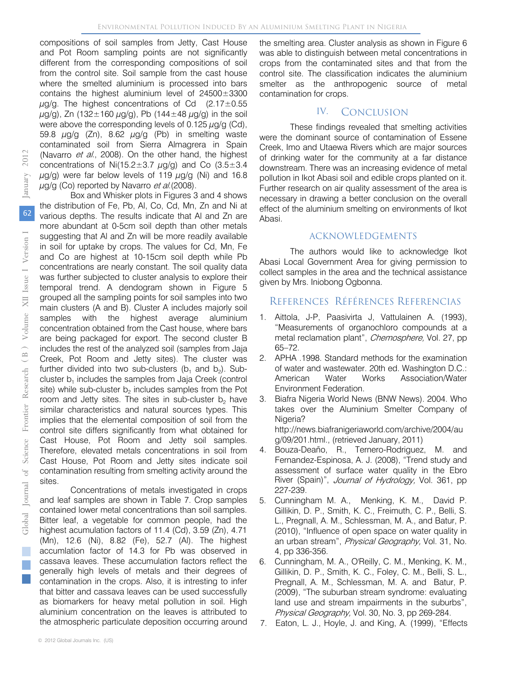compositions of soil samples from Jetty, Cast House and Pot Room sampling points are not significantly different from the corresponding compositions of soil from the control site. Soil sample from the cast house where the smelted aluminium is processed into bars contains the highest aluminium level of 24500±3300  $\mu$ g/g. The highest concentrations of Cd (2.17 $\pm$ 0.55  $\mu$ g/g), Zn (132±160  $\mu$ g/g), Pb (144±48  $\mu$ g/g) in the soil were above the corresponding levels of 0.125  $\mu$ g/g (Cd), 59.8  $\mu$ g/g (Zn), 8.62  $\mu$ g/g (Pb) in smelting waste contaminated soil from Sierra Almagrera in Spain (Navarro et al., 2008). On the other hand, the highest concentrations of Ni(15.2 $\pm$ 3.7  $\mu$ g/g) and Co (3.5 $\pm$ 3.4  $\mu$ g/g) were far below levels of 119  $\mu$ g/g (Ni) and 16.8  $\mu$ g/g (Co) reported by Navarro *et al.* (2008).

Box and Whisker plots in Figures 3 and 4 shows the distribution of Fe, Pb, Al, Co, Cd, Mn, Zn and Ni at various depths. The results indicate that Al and Zn are more abundant at 0-5cm soil depth than other metals suggesting that Al and Zn will be more readily available in soil for uptake by crops. The values for Cd, Mn, Fe and Co are highest at 10-15cm soil depth while Pb concentrations are nearly constant. The soil quality data was further subjected to cluster analysis to explore their temporal trend. A dendogram shown in Figure 5 grouped all the sampling points for soil samples into two main clusters (A and B). Cluster A includes majorly soil samples with the highest average aluminium concentration obtained from the Cast house, where bars are being packaged for export. The second cluster B includes the rest of the analyzed soil (samples from Jaja Creek, Pot Room and Jetty sites). The cluster was further divided into two sub-clusters  $(b_1$  and  $b_2)$ . Subcluster  $b_1$  includes the samples from Jaja Creek (control site) while sub-cluster  $b<sub>2</sub>$  includes samples from the Pot room and Jetty sites. The sites in sub-cluster  $b<sub>2</sub>$  have similar characteristics and natural sources types. This implies that the elemental composition of soil from the control site differs significantly from what obtained for Cast House, Pot Room and Jetty soil samples. Therefore, elevated metals concentrations in soil from Cast House, Pot Room and Jetty sites indicate soil contamination resulting from smelting activity around the sites.

Concentrations of metals investigated in crops and leaf samples are shown in Table 7. Crop samples contained lower metal concentrations than soil samples. Bitter leaf, a vegetable for common people, had the highest acumulation factors of 11.4 (Cd), 3.59 (Zn), 4.71 (Mn), 12.6 (Ni), 8.82 (Fe), 52.7 (Al). The highest accumlation factor of 14.3 for Pb was observed in cassava leaves. These accumulation factors reflect the generally high levels of metals and their degrees of contamination in the crops. Also, it is intresting to infer that bitter and cassava leaves can be used successfully as biomarkers for heavy metal pollution in soil. High aluminium concentration on the leaves is attributed to the atmospheric particulate deposition occurring around

the smelting area. Cluster analysis as shown in Figure 6 was able to distinguish between metal concentrations in crops from the contaminated sites and that from the control site. The classification indicates the aluminium smelter as the anthropogenic source of metal contamination for crops.

#### **CONCLUSION** IV.

These findings revealed that smelting activities were the dominant source of contamination of Essene Creek, Imo and Utaewa Rivers which are major sources of drinking water for the community at a far distance downstream. There was an increasing evidence of metal pollution in Ikot Abasi soil and edible crops planted on it. Further research on air quality assessment of the area is necessary in drawing a better conclusion on the overall effect of the aluminium smelting on environments of Ikot Abasi.

## ACKNOWLEDGEMENTS

The authors would like to acknowledge Ikot Abasi Local Government Area for giving permission to collect samples in the area and the technical assistance given by Mrs. Iniobong Ogbonna.

## REFERENCES RÉFÉRENCES REFERENCIAS

- 1. Aittola, J-P, Paasivirta J, Vattulainen A. (1993), "Measurements of organochloro compounds at a metal reclamation plant", Chemosphere, Vol. 27, pp 65–72.
- 2. APHA .1998. Standard methods for the examination of water and wastewater. 20th ed. Washington D.C.: American Water Works Association/Water Environment Federation.
- 3. Biafra Nigeria World News (BNW News). 2004. Who takes over the Aluminium Smelter Company of Nigeria?

 g/09/201.html., (retrieved January, 2011) http://news.biafranigeriaworld.com/archive/2004/au

- 4. Bouza-Deaño, R., Ternero-Rodriguez, M. and Fernandez-Espinosa, A. J. (2008), "Trend study and assessment of surface water quality in the Ebro River (Spain)", Journal of Hydrology, Vol. 361, pp 227-239.
- 5. Cunningham M. A., Menking, K. M., David P. Gillikin, D. P., Smith, K. C., Freimuth, C. P., Belli, S. L., Pregnall, A. M., Schlessman, M. A., and Batur, P. (2010), "Influence of open space on water quality in an urban stream", Physical Geography, Vol. 31, No. 4, pp 336-356.
- 6. Cunningham, M. A., O'Reilly, C. M., Menking, K. M., Gillikin, D. P., Smith, K. C., Foley, C. M., Belli, S. L., Pregnall, A. M., Schlessman, M. A. and Batur, P. (2009), "The suburban stream syndrome: evaluating land use and stream impairments in the suburbs", Physical Geography, Vol. 30, No. 3, pp 269-284.
- 7. Eaton, L. J., Hoyle, J. and King, A. (1999), "Effects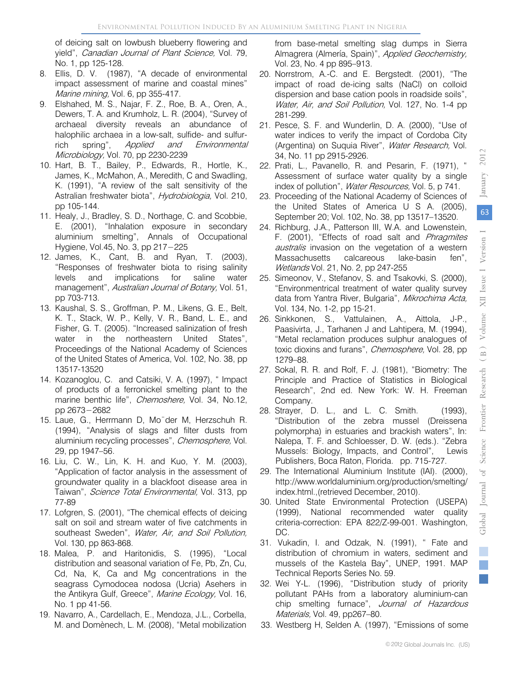of deicing salt on lowbush blueberry flowering and yield", Canadian Journal of Plant Science, Vol. 79, No. 1, pp 125-128.

- 8. Ellis, D. V. (1987), "A decade of environmental impact assessment of marine and coastal mines" Marine mining, Vol. 6, pp 355-417.
- 9. Elshahed, M. S., Najar, F. Z., Roe, B. A., Oren, A., Dewers, T. A. and Krumholz, L. R. (2004), "Survey of archaeal diversity reveals an abundance of halophilic archaea in a low-salt, sulfide- and sulfurrich spring", Applied and Environmental Microbiology, Vol. 70, pp 2230-2239
- 10. Hart, B. T., Bailey, P., Edwards, R., Hortle, K., James, K., McMahon, A., Meredith, C and Swadling, K. (1991), "A review of the salt sensitivity of the Astralian freshwater biota", Hydrobiologia, Vol. 210, pp 105-144.
- 11. Healy, J., Bradley, S. D., Northage, C. and Scobbie, E. (2001), "Inhalation exposure in secondary aluminium smelting", Annals of Occupational Hygiene, Vol.45, No. 3, pp 217−225
- 12. James, K., Cant, B. and Ryan, T. (2003), "Responses of freshwater biota to rising salinity levels and implications for saline water management", Australian Journal of Botany, Vol. 51, pp 703-713.
- 13. Kaushal, S. S., Groffman, P. M., Likens, G. E., Belt, K. T., Stack, W. P., Kelly, V. R., Band, L. E., and Fisher, G. T. (2005). "Increased salinization of fresh water in the northeastern United States", Proceedings of the National Academy of Sciences of the United States of America, Vol. 102, No. 38, pp 13517-13520
- 14. Kozanoglou, C. and Catsiki, V. A. (1997), " Impact of products of a ferronickel smelting plant to the marine benthic life", *Chemoshere*, Vol. 34, No.12, pp 2673−2682
- 15. Laue, G., Herrmann D, Mo¨der M, Herzschuh R. (1994), "Analysis of slags and filter dusts from aluminium recycling processes", Chemosphere, Vol. 29, pp 1947–56.
- 16. Liu, C. W., Lin, K. H. and Kuo, Y. M. (2003), "Application of factor analysis in the assessment of groundwater quality in a blackfoot disease area in Taiwan", Science Total Environmental, Vol. 313, pp 77-89
- 17. Lofgren, S. (2001), "The chemical effects of deicing salt on soil and stream water of five catchments in southeast Sweden", Water, Air, and Soil Pollution, Vol. 130, pp 863-868.
- 18. Malea, P. and Haritonidis, S. (1995), "Local distribution and seasonal variation of Fe, Pb, Zn, Cu, Cd, Na, K, Ca and Mg concentrations in the seagrass Cymodocea nodosa (Ucria) Asehers in the Antikyra Gulf, Greece", Marine Ecology, Vol. 16, No. 1 pp 41-56.
- 19. Navarro, A., Cardellach, E., Mendoza, J.L., Corbella, M. and Domènech, L. M. (2008), "Metal mobilization

from base-metal smelting slag dumps in Sierra Almagrera (Almería, Spain)", Applied Geochemistry, Vol. 23, No. 4 pp 895–913.

- 20. Norrstrom, A.-C. and E. Bergstedt. (2001), "The impact of road de-icing salts (NaCl) on colloid dispersion and base cation pools in roadside soils", Water, Air, and Soil Pollution, Vol. 127, No. 1-4 pp 281-299.
- 21. Pesce, S. F. and Wunderlin, D. A. (2000), "Use of water indices to verify the impact of Cordoba City (Argentina) on Suquia River", Water Research, Vol. 34, No. 11 pp 2915-2926.
- 22. Prati, L., Pavanello, R. and Pesarin, F. (1971), " Assessment of surface water quality by a single index of pollution", Water Resources, Vol. 5, p 741.
- 23. Proceeding of the National Academy of Sciences of the United States of America U S A. (2005), September 20; Vol. 102, No. 38, pp 13517–13520.
- 24. Richburg, J.A., Patterson III, W.A. and Lowenstein, F. (2001), "Effects of road salt and Phragmites australis invasion on the vegetation of a western Massachusetts calcareous lake-basin fen", Wetlands Vol. 21, No. 2, pp 247-255
- 25. Simeonov, V., Stefanov, S. and Tsakovki, S. (2000), "Environmentrical treatment of water quality survey data from Yantra River, Bulgaria", Mikrochima Acta, Vol. 134, No. 1-2, pp 15-21.
- 26. Sinkkonen, S., Vattulainen, A., Aittola, J-P., Paasivirta, J., Tarhanen J and Lahtipera, M. (1994), "Metal reclamation produces sulphur analogues of toxic dioxins and furans", *Chemosphere*, Vol. 28, pp 1279–88.
- 27. Sokal, R. R. and Rolf, F. J. (1981), "Biometry: The Principle and Practice of Statistics in Biological Research", 2nd ed. New York: W. H. Freeman Company.
- 28. Strayer, D. L., and L. C. Smith. (1993), "Distribution of the zebra mussel (Dreissena polymorpha) in estuaries and brackish waters", In: Nalepa, T. F. and Schloesser, D. W. (eds.). "Zebra Mussels: Biology, Impacts, and Control", Lewis Publishers, Boca Raton, Florida. pp. 715-727.
- 29. The International Aluminium Institute (IAI). (2000), http://www.worldaluminium.org/production/smelting/ index.html.,(retrieved December, 2010).
- 30. United State Environmental Protection (USEPA) (1999), National recommended water quality criteria-correction: EPA 822/Z-99-001. Washington, DC.
- 31. Vukadin, I. and Odzak, N. (1991), " Fate and distribution of chromium in waters, sediment and mussels of the Kastela Bay", UNEP, 1991. MAP Technical Reports Series No. 59.
- 32. Wei Y-L. (1996), "Distribution study of priority pollutant PAHs from a laboratory aluminium-can chip smelting furnace", Journal of Hazardous Materials, Vol. 49, pp267-80.
- 33. Westberg H, Selden A. (1997), "Emissions of some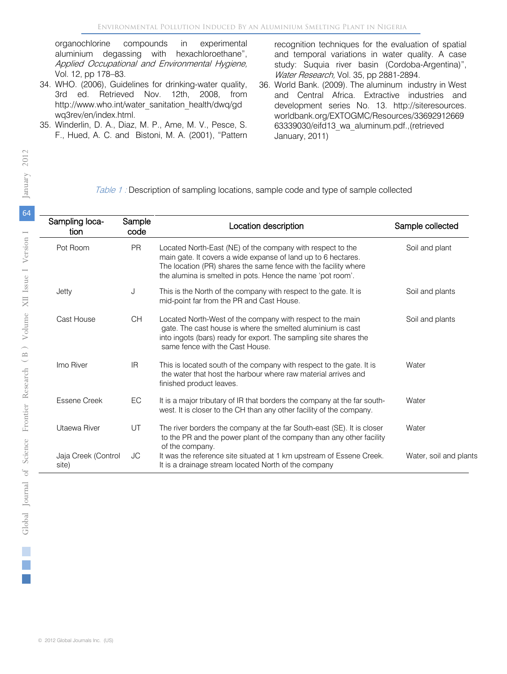organochlorine compounds in experimental aluminium degassing with hexachloroethane", Applied Occupational and Environmental Hygiene, Vol. 12, pp 178–83.

- 34. WHO. (2006), Guidelines for drinking-water quality, 3rd ed. Retrieved Nov. 12th, 2008, from http://www.who.int/water\_sanitation\_health/dwq/gd wq3rev/en/index.html.
- 35. Winderlin, D. A., Diaz, M. P., Ame, M. V., Pesce, S. F., Hued, A. C. and Bistoni, M. A. (2001), "Pattern

recognition techniques for the evaluation of spatial and temporal variations in water quality. A case study: Suquia river basin (Cordoba-Argentina)", Water Research, Vol. 35, pp 2881-2894.

36. World Bank. (2009). The aluminum industry in West and Central Africa. Extractive industries and development series No. 13. http://siteresources. worldbank.org/EXTOGMC/Resources/33692912669 63339030/eifd13\_wa\_aluminum.pdf.,(retrieved January, 2011)

## Table 1 : Description of sampling locations, sample code and type of sample collected

| Sampling loca-<br>tion       | Sample<br>code | Location description                                                                                                                                                                                                                                         | Sample collected       |
|------------------------------|----------------|--------------------------------------------------------------------------------------------------------------------------------------------------------------------------------------------------------------------------------------------------------------|------------------------|
| Pot Room                     | <b>PR</b>      | Located North-East (NE) of the company with respect to the<br>main gate. It covers a wide expanse of land up to 6 hectares.<br>The location (PR) shares the same fence with the facility where<br>the alumina is smelted in pots. Hence the name 'pot room'. | Soil and plant         |
| Jetty                        | J              | This is the North of the company with respect to the gate. It is<br>mid-point far from the PR and Cast House.                                                                                                                                                | Soil and plants        |
| Cast House                   | CH             | Located North-West of the company with respect to the main<br>gate. The cast house is where the smelted aluminium is cast<br>into ingots (bars) ready for export. The sampling site shares the<br>same fence with the Cast House.                            | Soil and plants        |
| Imo River                    | IR.            | This is located south of the company with respect to the gate. It is<br>the water that host the harbour where raw material arrives and<br>finished product leaves.                                                                                           | Water                  |
| <b>Essene Creek</b>          | EC             | It is a major tributary of IR that borders the company at the far south-<br>west. It is closer to the CH than any other facility of the company.                                                                                                             | Water                  |
| Utaewa River                 | UT             | The river borders the company at the far South-east (SE). It is closer<br>to the PR and the power plant of the company than any other facility<br>of the company.                                                                                            | Water                  |
| Jaja Creek (Control<br>site) | JС             | It was the reference site situated at 1 km upstream of Essene Creek.<br>It is a drainage stream located North of the company                                                                                                                                 | Water, soil and plants |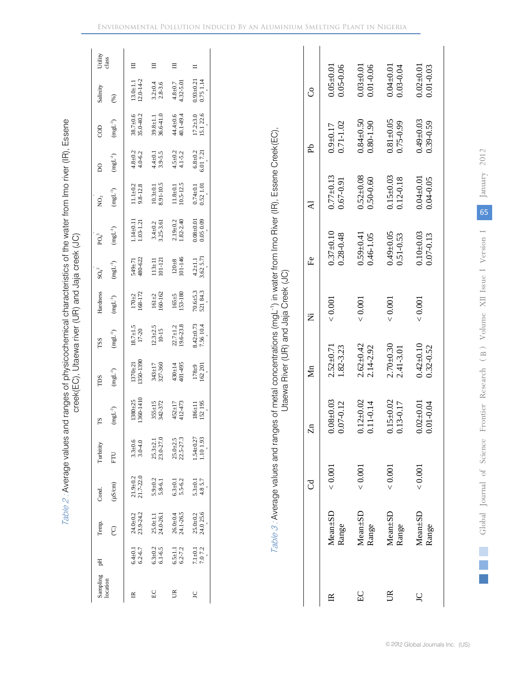| H<br>Sampling<br>ocation     | Temp.                           | Cond.                         | <b>Turbitity</b>              |                             | ŠCI                      | <b>TSS</b>                  | Hardness                 | $SO_4^2$                    | $PQ_4^3$                       | ğ                               | $\overline{8}$               | CO <sub>C</sub>                 | Salinity                        | Utility<br>class |
|------------------------------|---------------------------------|-------------------------------|-------------------------------|-----------------------------|--------------------------|-----------------------------|--------------------------|-----------------------------|--------------------------------|---------------------------------|------------------------------|---------------------------------|---------------------------------|------------------|
|                              | Ô,                              | $(\mu S/cm)$                  | FTU                           | $\mathrm{Hg}$               | $(mgL^{-1})$             | $(\rm{mgL}^{-1})$           | $(\rm{mgL}^{-1})$        | $(\rm{mgL}^{-1})$           | $(\rm{mgL^{-1}})$              | $(\rm{mgL}^{-1})$               | $(\rm{mgL}^{-1})$            | $(\rm{mgL}^{-1})$               | (%)                             |                  |
| $6.4 + 0.1$<br>$6.2 - 6.7$   | 24.0±0.2<br>23.9-24.2           | $21.9 + 0.2$<br>$21.7 - 22.0$ | $3.3 + 0.6$<br>$3.0 - 4.0$    | 360-1410<br>$1380 + 25$     | 1370±21<br>1350-1390     | $18.7 \pm 1.5$<br>17-20     | $\frac{170+2}{168-172}$  | 549±71<br>480-622           | $1.14 + 0.11$<br>$1.03 - 1.21$ | $11.1 \pm 0.2$<br>9.8-12.8      | $4.8 + 0.2$<br>$4.0 - 6.2$   | $38.7 \pm 0.6$<br>35.0-40.2     | $13.0 + 1.1$<br>$12.0 - 14 - 2$ |                  |
| $6.3 + 0.2$<br>$6.1 - 6.5$   | 25.0±1.1<br>24.0-26.1           | $5.9 + 0.2$<br>$5.8 - 6.1$    | $25.3 + 2.1$<br>$23.0 - 27.0$ | $355 \pm 15$<br>$342 - 372$ | 343±17<br>327-360        | $12.3 \pm 2.5$<br>$10-15$   | $161 + 2$<br>$160 - 162$ | $113 \pm 11$<br>$101 - 121$ | $3.4 \pm 0.2$<br>$3.25 - 3.61$ | $10.3 \pm 0.1$<br>8.91-10.5     | $4.4 + 0.1$<br>3.9-5.5       | $39.8 \pm 1.1$<br>$36.6 - 41.0$ | $3.2 + 0.4$<br>2.8-3.6          |                  |
| $5.5 \pm 1.1$<br>$5.2 - 7.2$ | 26.0±0.4<br>24.1-26.5           | $5.3 + 0.1$<br>$5.5 - 6.2$    | $25.0 + 2.5$<br>$22.5 - 27.3$ | 452±17<br>112-473           | $430 + 14$<br>401-495    | $22.7 \pm 1.2$<br>19.6-23.8 | $165 \pm 5$<br>153-180   | $120 + 8$<br>101-146        | $2.19 + 0.2$<br>$1.82 - 2.40$  | $11.8 \pm 0.1$<br>$10.5 - 12.5$ | $4.5 \pm 0.2$<br>$4.1 - 5.2$ | $44.4 \pm 0.6$<br>40.1-49.4     | $4.8 + 0.7$<br>4.32-5.01        |                  |
| 7.1±0.1<br>7.0 7.2           | $25.0 \pm 0.2$<br>$24.0$ $25.6$ | 5.3±0.1<br>4.8 5.7            | $1.54 \pm 0.27$<br>1.10 1.93  | 186±11<br>152 195           | $\frac{178+9}{162\ 201}$ | 8.42±0.73<br>7.56 10.4      | 70.6±5.3<br>521 84.3     | $4.2 \pm 1.1$<br>3.62 5.71  | $0.08 + 0.01$<br>0.05 0.09     | $0.74 \pm 0.1$<br>0.52 1.01     | $6.8 \pm 0.2$<br>$5.01$ 7.21 | $17.2 \pm 3.0$<br>15.1 22.6     | $0.93 + 0.21$<br>0.75 1.14      |                  |

Table 3 : Average values and ranges of metal concentrations (mgL-1) in water from Imo River (IR), Essene Creek(EC), Table 3: Average values and ranges of metal concentrations (mgL<sup>-1</sup>) in water from Imo River (IR), Essene Creek(EC),<br>Utaewa River (UR) and Jaja Creek (JC) Utaewa River (UR) and Jaja Creek (JC)

|                |                        | ರ       | R,                                     | $\sum_{n=1}^{\infty}$      | Ż       | £e                             | $\overline{\mathbf{A}}$        | £                             | ರೆ                             |
|----------------|------------------------|---------|----------------------------------------|----------------------------|---------|--------------------------------|--------------------------------|-------------------------------|--------------------------------|
| ≅              | $Mean \pm SD$<br>Range | < 0.001 | 0.03<br>$0.08 + 0.03$<br>0.07-0.12     | $2.52 + 0.71$<br>1.82-3.23 | < 0.001 | $0.37 + 0.10$<br>$0.28 - 0.48$ | $0.77 + 0.13$<br>0.67-0.91     | $0.71 - 1.02$<br>$0.9 + 0.17$ | $0.05 + 0.01$<br>$0.05 - 0.06$ |
| E              | $Mean \pm SD$<br>Range | < 0.001 | $2 + 0.02$<br>$1 - 0.14$<br>55         | $2.62 + 0.42$<br>2.14-2.92 | < 0.001 | $0.59 + 0.41$<br>0.46-1.05     | $0.52 + 0.08$<br>$0.50 - 0.60$ | $0.84 + 0.50$<br>0.80-1.90    | 0.01-0.06<br>$0.03 + 0.01$     |
| ĽR             | $Mean \pm SD$<br>Range | < 0.001 | $5 + 0.02$<br>3-0.17<br>$\overline{5}$ | $2.70 + 0.30$<br>2.41-3.01 | < 0.001 | $0.49 + 0.05$<br>0.51-0.53     | $0.15 \pm 0.03$<br>0.12-0.18   | $0.81 + 0.05$<br>0.75-0.99    | $0.04 + 0.01$<br>$0.03 - 0.04$ |
| $\overline{C}$ | $Mean \pm SD$<br>Range | < 0.001 | $0.02 + 0.01$<br>0.01-0.04             | $0.42 + 0.10$<br>0.32-0.52 | < 0.001 | $0.10 + 0.03$<br>0.07-0.13     | $0.04 + 0.01$<br>$0.04 - 0.05$ | $0.49 + 0.03$<br>0.39-0.59    | $0.02 + 0.01$<br>0.01-0.03     |
|                |                        |         |                                        |                            |         |                                |                                |                               |                                |

Global Journal of Science Frontier Research (B) Volume XII Issue I Version I 6

 $\binom{B}{B}$ 

January 2012

65

January 2012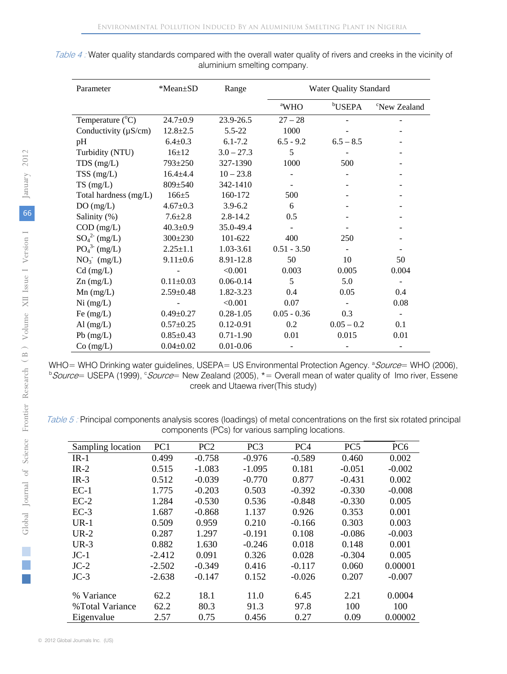| Parameter                 | *Mean±SD        | Range         |                          | <b>Water Quality Standard</b> |                          |
|---------------------------|-----------------|---------------|--------------------------|-------------------------------|--------------------------|
|                           |                 |               | <sup>a</sup> WHO         | <sup>b</sup> USEPA            | <sup>c</sup> New Zealand |
| Temperature $(^{\circ}C)$ | $24.7 \pm 0.9$  | 23.9-26.5     | $27 - 28$                |                               |                          |
| Conductivity $(\mu S/cm)$ | $12.8 \pm 2.5$  | $5.5 - 22$    | 1000                     |                               |                          |
| pH                        | $6.4 \pm 0.3$   | $6.1 - 7.2$   | $6.5 - 9.2$              | $6.5 - 8.5$                   |                          |
| Turbidity (NTU)           | $16 + 12$       | $3.0 - 27.3$  | 5                        |                               |                          |
| $TDS$ (mg/L)              | 793±250         | 327-1390      | 1000                     | 500                           |                          |
| $TSS$ (mg/L)              | $16.4 + 4.4$    | $10 - 23.8$   |                          |                               |                          |
| $TS \, (mg/L)$            | 809±540         | 342-1410      | $\overline{\phantom{a}}$ |                               |                          |
| Total hardness (mg/L)     | $166 \pm 5$     | 160-172       | 500                      |                               |                          |
| DO(mg/L)                  | $4.67 \pm 0.3$  | $3.9 - 6.2$   | 6                        |                               |                          |
| Salinity (%)              | $7.6 \pm 2.8$   | $2.8 - 14.2$  | 0.5                      |                               |                          |
| $COD$ (mg/L)              | $40.3 \pm 0.9$  | 35.0-49.4     |                          |                               |                          |
| $SO_4^{2-}$ (mg/L)        | $300 \pm 230$   | 101-622       | 400                      | 250                           |                          |
| $PO_4^{3}$ (mg/L)         | $2.25 \pm 1.1$  | 1.03-3.61     | $0.51 - 3.50$            |                               | Ξ.                       |
| $NO3-$ (mg/L)             | $9.11 \pm 0.6$  | 8.91-12.8     | 50                       | 10                            | 50                       |
| $Cd$ (mg/L)               |                 | < 0.001       | 0.003                    | 0.005                         | 0.004                    |
| $Zn$ (mg/L)               | $0.11 \pm 0.03$ | $0.06 - 0.14$ | 5                        | 5.0                           |                          |
| $Mn$ (mg/L)               | $2.59 \pm 0.48$ | 1.82-3.23     | 0.4                      | 0.05                          | 0.4                      |
| Ni (mg/L)                 |                 | < 0.001       | 0.07                     |                               | 0.08                     |
| Fe $(mg/L)$               | $0.49 \pm 0.27$ | $0.28 - 1.05$ | $0.05 - 0.36$            | 0.3                           |                          |
| Al $(mg/L)$               | $0.57 \pm 0.25$ | $0.12 - 0.91$ | 0.2                      | $0.05 - 0.2$                  | 0.1                      |
| Pb (mg/L)                 | $0.85 \pm 0.43$ | $0.71 - 1.90$ | 0.01                     | 0.015                         | 0.01                     |
| $Co$ (mg/L)               | $0.04 \pm 0.02$ | $0.01 - 0.06$ |                          |                               |                          |

Table 4 : Water quality standards compared with the overall water quality of rivers and creeks in the vicinity of aluminium smelting company.

WHO= WHO Drinking water guidelines, USEPA= US Environmental Protection Agency. <sup>a</sup> Source= WHO (2006),<br>b Source= USERA (1999), s Source= Now Zoaland (2005), \*= Overall mean of water quality of Jmo river. Essene, Source= USEPA (1999), *Source*= New Zealand (2005), \* = Overall mean of water quality of Imo river, Essene creek and Utaewa river(This study)

Table 5 : Principal components analysis scores (loadings) of metal concentrations on the first six rotated principal components (PCs) for various sampling locations.

| Sampling location | PC1      | PC <sub>2</sub> | PC <sub>3</sub> | PC <sub>4</sub> | PC <sub>5</sub> | PC <sub>6</sub> |
|-------------------|----------|-----------------|-----------------|-----------------|-----------------|-----------------|
| $IR-1$            | 0.499    | $-0.758$        | $-0.976$        | $-0.589$        | 0.460           | 0.002           |
| $IR-2$            | 0.515    | $-1.083$        | $-1.095$        | 0.181           | $-0.051$        | $-0.002$        |
| $IR-3$            | 0.512    | $-0.039$        | $-0.770$        | 0.877           | $-0.431$        | 0.002           |
| $EC-1$            | 1.775    | $-0.203$        | 0.503           | $-0.392$        | $-0.330$        | $-0.008$        |
| $EC-2$            | 1.284    | $-0.530$        | 0.536           | $-0.848$        | $-0.330$        | 0.005           |
| $EC-3$            | 1.687    | $-0.868$        | 1.137           | 0.926           | 0.353           | 0.001           |
| $UR-1$            | 0.509    | 0.959           | 0.210           | $-0.166$        | 0.303           | 0.003           |
| $UR-2$            | 0.287    | 1.297           | $-0.191$        | 0.108           | $-0.086$        | $-0.003$        |
| $UR-3$            | 0.882    | 1.630           | $-0.246$        | 0.018           | 0.148           | 0.001           |
| $JC-1$            | $-2.412$ | 0.091           | 0.326           | 0.028           | $-0.304$        | 0.005           |
| $JC-2$            | $-2.502$ | $-0.349$        | 0.416           | $-0.117$        | 0.060           | 0.00001         |
| $JC-3$            | $-2.638$ | $-0.147$        | 0.152           | $-0.026$        | 0.207           | $-0.007$        |
|                   |          |                 |                 |                 |                 |                 |
| % Variance        | 62.2     | 18.1            | 11.0            | 6.45            | 2.21            | 0.0004          |
| %Total Variance   | 62.2     | 80.3            | 91.3            | 97.8            | 100             | 100             |
| Eigenvalue        | 2.57     | 0.75            | 0.456           | 0.27            | 0.09            | 0.00002         |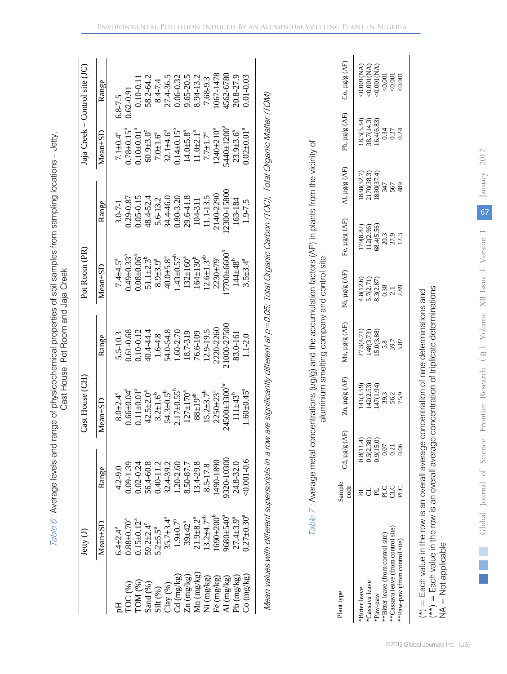|                                                                                                                                                                                                   | Jetty $(J)$                |               | Cast House (CH)              |               | Pot Room (PR)                |               |                              | Jaja Creek – Control site (JC) |
|---------------------------------------------------------------------------------------------------------------------------------------------------------------------------------------------------|----------------------------|---------------|------------------------------|---------------|------------------------------|---------------|------------------------------|--------------------------------|
|                                                                                                                                                                                                   | $Mean \pm SD$              | Range         | $Mean \pm SD$                | Range         | $Mean \pm SD$                | Range         | $Mean \pm SD$                | Range                          |
|                                                                                                                                                                                                   | $5.4 \pm 2.4^a$            | $4.2 - 9.0$   | $8.0 + 2.4^{a}$              | 5.5-10.3      | $7.4 + 4.5^a$                | $3.0 - 7 - 1$ | $7.1 \pm 0.4^a$              | $6.8 - 7.5$                    |
| $\overline{C}$ $(\%)$                                                                                                                                                                             | $0.88 + 0.70^{\circ}$      | $0.09 - 1.39$ | $0.66 \pm 0.04$ <sup>a</sup> | 0.61-0.68     | $0.49 \pm 0.33$ <sup>a</sup> | 0.29-0.87     | $0.78 \pm 0.15^{\circ}$      | $0.62 - 0.91$                  |
| $\text{LOM}$ (%)                                                                                                                                                                                  | $0.15 \pm 0.12^a$          | $0.02 - 0.24$ | $0.11 \pm 0.01$ <sup>a</sup> | $0.10 - 0.12$ | $0.08 - 0.06$ <sup>a</sup>   | $0.05 - 0.15$ | $0.10^{+0.01^{a}}$           | $0.10 - 0.1$                   |
| Sand (%)                                                                                                                                                                                          | $59.2 \pm 2.4^{\circ}$     | 56.4-60.8     | $42.5 \pm 2.0^a$             | 40.4-44.4     | $51.1 + 2.3^{b}$             | 48.4-52.4     | $60.9 + 3.0^{\circ}$         | 58.2-64.2                      |
| Silt $(\%)$                                                                                                                                                                                       | 5.2 $\pm$ 5.5 <sup>a</sup> | $0.40 - 11.2$ | $3.2 \pm 1.6^{\circ}$        | 1.6-4.8       | $8.9 + 3.9a$                 | 5.6-13.2      | $7.0 + 1.6^a$                | $8.4 - 7.4$                    |
|                                                                                                                                                                                                   | $35.7 \pm 3.4^a$           | 32.4-39.2     | $54.3 \pm 0.5^{b}$           | 54.0-54.8     | $40.0 + 5.8^a$               | 34.4-46.0     | $32.1 + 4.6^a$               | 27.4-36.5                      |
| $\begin{array}{l} \text{Clay } (\%) \\ \text{Cd } (\text{mg/kg}) \\ \text{Zn } (\text{mg/kg}) \\ \text{Mn } (\text{mg/kg}) \\ \text{Mn } (\text{mg/kg}) \\ \text{Ni } (\text{mg/kg}) \end{array}$ | $1.9{\pm}0.7^{\rm b}$      | $1.20 - 2.60$ | $2.17 \pm 0.55^b$            | $.60 - 2.70$  | $.43 + 0.57^b$               | 0.80-3.20     | $0.14 \pm 0.15^a$            | $0.06 - 0.32$                  |
|                                                                                                                                                                                                   | $39 + 42^{a}$              | 8.50-87.7     | $127 \pm 170^a$              | 18.7-319      | $.32 \pm 160^{a}$            | 29.6-41.8     | $14.0 \pm 5.8^a$             | $0.65 - 20.5$                  |
|                                                                                                                                                                                                   | $21.9 + 8.2a$              | 13.4-29.8     | $88 \pm 19^{ab}$             | 76.6-109      | $164 \pm 130^{b}$            | 104-311       | $11.0 + 2.1a$                | 8.94-13.2                      |
|                                                                                                                                                                                                   | $3.2 + 4.7ab$              | 8.5-17.8      | $15.2 \pm 3.7^b$             | $12.9 - 19.5$ | $12.6 \pm 1.3^{ab}$          | $1.1 - 13.5$  | $7.7 \pm 1.7^a$              | 7.68-9.3                       |
|                                                                                                                                                                                                   | $690 + 200^b$              | 490-1890      | $2250 + 23^{\circ}$          | 2220-2260     | $2230 + 79^{\circ}$          | 2140-2290     | $1240 + 210^a$               | 067-1478                       |
| Fe (mg/kg)<br>Al (mg/kg)                                                                                                                                                                          | $0.680 + 540^{a}$          | 320-10300     | $24500 + 3300^{\circ}$       | 1000-27500    | $7700 + 6600^6$              | 2300-15800    | $5440 \pm 1200^9$            | 4562-6780                      |
| Pb (mg/kg)                                                                                                                                                                                        | $27.4 + 3.9^a$             | 24.8-32.0     | $111 + 43^{o}$               | 83.0-161      | $144 + 48^{\circ}$           | 163-184       | $23.9 + 3.6^a$               | 20.8-27.9                      |
| Co (mg/kg)                                                                                                                                                                                        | $0.27 \pm 0.30^4$          | $0.001 - 0.6$ | $1.60 \pm 0.45^a$            | $1.1 - 2.0$   | $3.5 \pm 3.4^a$              | $1.9 - 7.5$   | $0.02 \pm 0.01$ <sup>a</sup> | $0.01 - 0.03$                  |

Table 6 : Average levels and range of physicochemical properties of soil samples from sampling locations Table 6 : Average levels and range of physicochemical properties of soil samples from sampling locations - Jetty,

 $Table 7$ : Average metal concentrations  $(\mu q/q)$  and the accumulation factors (AF) in plants from the vicinity of aluminium smelting company and control site.

aluminium smelting company and control site.

Table 7: Average metal concentrations (ug/g) and the accumulation factors (AF) in plants from the vicinity of

| clant type                          | Sample<br>code | Cd, µg/g (AF               | $\ln \mu$ g/g (AF)                                   | $\ln \mu g/g \, (AF)$                                 | Ni, µg/g (AF)                                                          | Fe, $\mu$ g/g (AF)                                          | $U$ , $\mu$ g/g $(AF)$                                          | Pb, µg/g (AF)                                              | Co, µg/g (AF                                       |
|-------------------------------------|----------------|----------------------------|------------------------------------------------------|-------------------------------------------------------|------------------------------------------------------------------------|-------------------------------------------------------------|-----------------------------------------------------------------|------------------------------------------------------------|----------------------------------------------------|
| *Bitter leave                       |                |                            |                                                      |                                                       |                                                                        |                                                             |                                                                 |                                                            |                                                    |
| *Cassava leave                      |                | $0.8(11.4)$<br>$0.5(2.38)$ |                                                      |                                                       |                                                                        |                                                             |                                                                 |                                                            |                                                    |
| Paw-paw                             |                | 0.9(15.0)                  |                                                      |                                                       |                                                                        |                                                             |                                                                 |                                                            |                                                    |
| **Bitter leave (from control site)  | <b>PLC</b>     | 0.07                       | 41(3.59)<br> 42(2.53)<br> 47(1.94)<br> 50,3<br> 50,9 | 27.3(4.71)<br>148(3.73)<br>15.0(3.88)<br>5.87<br>3.87 | $1.8(12.6)$<br>$5.7(2.71)$<br>$5.3(2.87)$<br>$0.38$<br>$2.1$<br>$2.89$ | 179(8.82)<br>112(2.96)<br>112(5.56)<br>20.3<br>20.3<br>12.3 | 830(52.7)<br>1170(38.3)<br>830(37.4)<br>830(37.4)<br>567<br>569 | $[8.3(5.34)\n8.7(14.3)\n8.7(14.3)\n16.4(6.83)\n0.34\n0.24$ | 0.00104)<br>0.00104)<br>0.00104)<br>0.001<br>0.001 |
| **Cassava leave (from control site) | СLC            | 0.21                       |                                                      |                                                       |                                                                        |                                                             |                                                                 |                                                            |                                                    |
| **Paw-paw (from control site)       | n<br>S         | 0.06                       |                                                      |                                                       |                                                                        |                                                             |                                                                 |                                                            |                                                    |
|                                     |                |                            |                                                      |                                                       |                                                                        |                                                             |                                                                 |                                                            |                                                    |

NA = Not applicable NA = Not applicable

© 2012 Global Journals Inc. (US)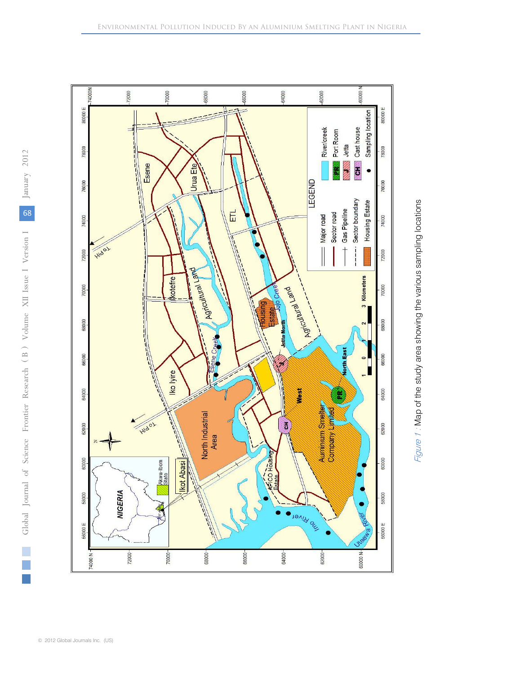

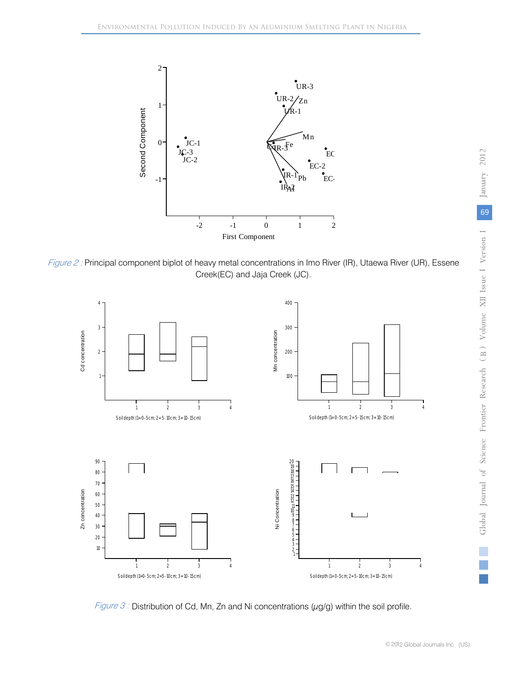

Figure 2 : Principal component biplot of heavy metal concentrations in Imo River (IR), Utaewa River (UR), Essene Creek(EC) and Jaja Creek (JC).



Figure 3 : Distribution of Cd, Mn, Zn and Ni concentrations ( $\mu$ g/g) within the soil profile.

T.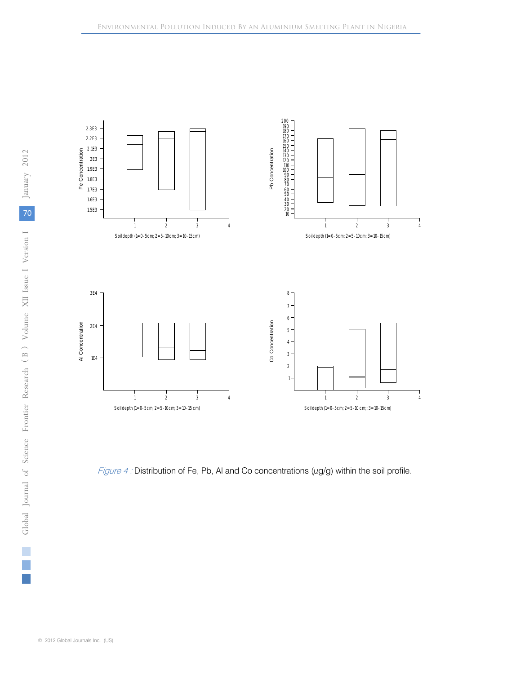

Figure 4 : Distribution of Fe, Pb, AI and Co concentrations  $(\mu g/g)$  within the soil profile.

p.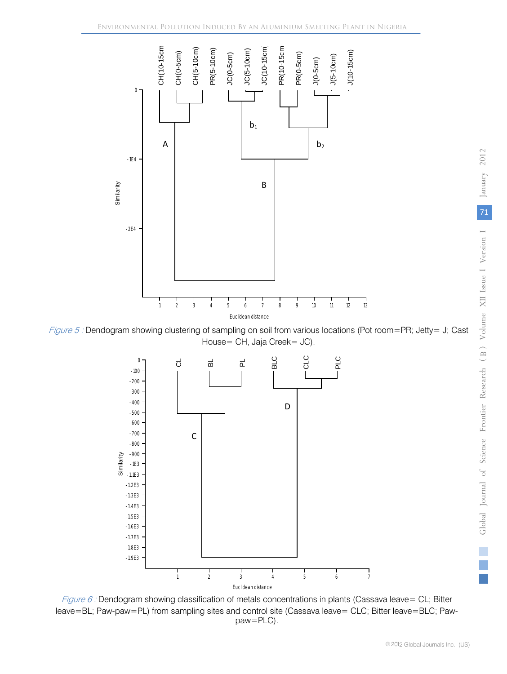

Figure 5 : Dendogram showing clustering of sampling on soil from various locations (Pot room=PR; Jetty= J; Cast House= CH, Jaja Creek= JC).



Figure 6 : Dendogram showing classification of metals concentrations in plants (Cassava leave= CL; Bitter leave=BL; Paw-paw=PL) from sampling sites and control site (Cassava leave= CLC; Bitter leave=BLC; Pawpaw=PLC).